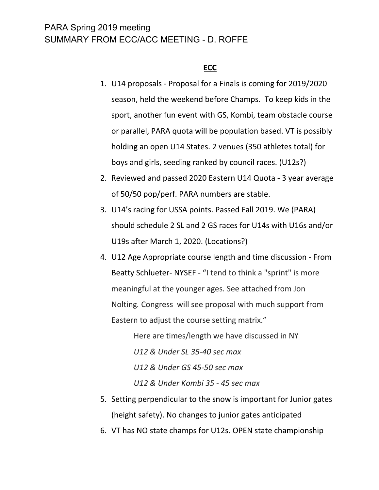## PARA Spring 2019 meeting SUMMARY FROM ECC/ACC MEETING - D. ROFFE

#### **ECC**

- 1. U14 proposals Proposal for a Finals is coming for 2019/2020 season, held the weekend before Champs. To keep kids in the sport, another fun event with GS, Kombi, team obstacle course or parallel, PARA quota will be population based. VT is possibly holding an open U14 States. 2 venues (350 athletes total) for boys and girls, seeding ranked by council races. (U12s?)
- 2. Reviewed and passed 2020 Eastern U14 Quota 3 year average of 50/50 pop/perf. PARA numbers are stable.
- 3. U14's racing for USSA points. Passed Fall 2019. We (PARA) should schedule 2 SL and 2 GS races for U14s with U16s and/or U19s after March 1, 2020. (Locations?)
- 4. U12 Age Appropriate course length and time discussion From Beatty Schlueter- NYSEF - "I tend to think a "sprint" is more meaningful at the younger ages. See attached from Jon Nolting*.* Congress will see proposal with much support from Eastern to adjust the course setting matrix."

Here are times/length we have discussed in NY *U12 & Under SL 35-40 sec max U12 & Under GS 45-50 sec max U12 & Under Kombi 35 - 45 sec max*

- 5. Setting perpendicular to the snow is important for Junior gates (height safety). No changes to junior gates anticipated
- 6. VT has NO state champs for U12s. OPEN state championship